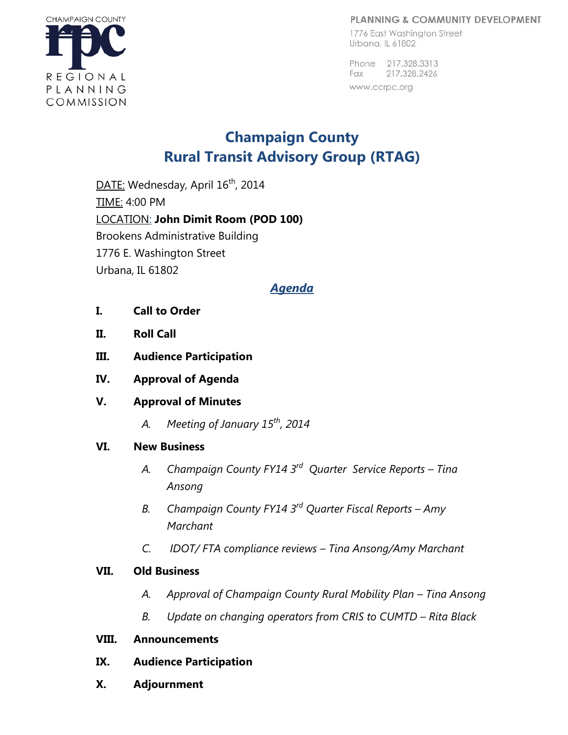#### PLANNING & COMMUNITY DEVELOPMENT

1776 East Washington Street Urbana, IL 61802

Phone 217.328.3313 Fax 217.328.2426 www.ccrpc.org



# **Champaign County Rural Transit Advisory Group (RTAG)**

DATE: Wednesday, April 16<sup>th</sup>, 2014 TIME: 4:00 PM LOCATION: **John Dimit Room (POD 100)** Brookens Administrative Building 1776 E. Washington Street Urbana, IL 61802

## *Agenda*

- **I. Call to Order**
- **II. Roll Call**
- **III. Audience Participation**
- **IV. Approval of Agenda**
- **V. Approval of Minutes** 
	- *A. Meeting of January 15th, 2014*

## **VI. New Business**

- *A. Champaign County FY14 3rd Quarter Service Reports – Tina Ansong*
- *B. Champaign County FY14 3rd Quarter Fiscal Reports – Amy Marchant*
- *C. IDOT/ FTA compliance reviews – Tina Ansong/Amy Marchant*

## **VII. Old Business**

- *A. Approval of Champaign County Rural Mobility Plan – Tina Ansong*
- *B. Update on changing operators from CRIS to CUMTD – Rita Black*

## **VIII. Announcements**

- **IX. Audience Participation**
- **X. Adjournment**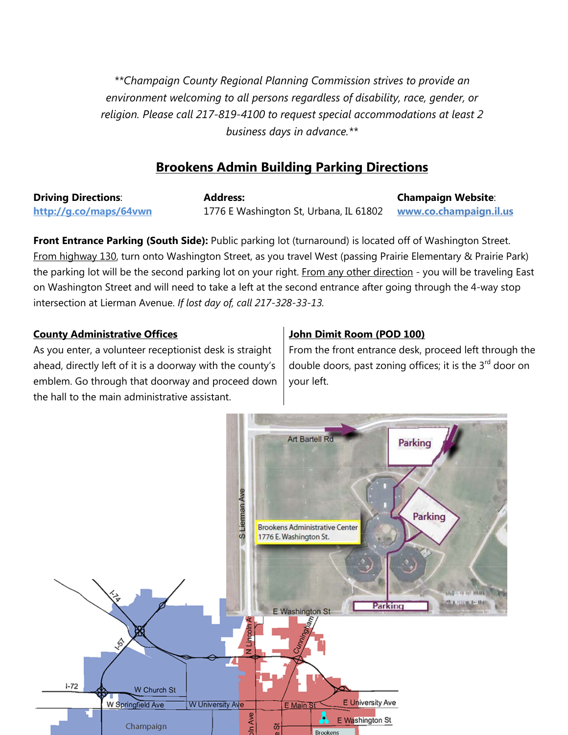*\*\*Champaign County Regional Planning Commission strives to provide an environment welcoming to all persons regardless of disability, race, gender, or religion. Please call 217-819-4100 to request special accommodations at least 2 business days in advance.\*\**

# **Brookens Admin Building Parking Directions**

**Driving Directions**: **<http://g.co/maps/64vwn> Address:**  1776 E Washington St, Urbana, IL 61802 **Champaign Website**: **[www.co.champaign.il.us](http://www.co.champaign.il.us/)**

**Front Entrance Parking (South Side):** Public parking lot (turnaround) is located off of Washington Street. From highway 130, turn onto Washington Street, as you travel West (passing Prairie Elementary & Prairie Park) the parking lot will be the second parking lot on your right. From any other direction - you will be traveling East on Washington Street and will need to take a left at the second entrance after going through the 4-way stop intersection at Lierman Avenue. *If lost day of, call 217-328-33-13.*

### **County Administrative Offices**

As you enter, a volunteer receptionist desk is straight ahead, directly left of it is a doorway with the county's emblem. Go through that doorway and proceed down the hall to the main administrative assistant.

### **John Dimit Room (POD 100)**

From the front entrance desk, proceed left through the double doors, past zoning offices; it is the 3<sup>rd</sup> door on your left.

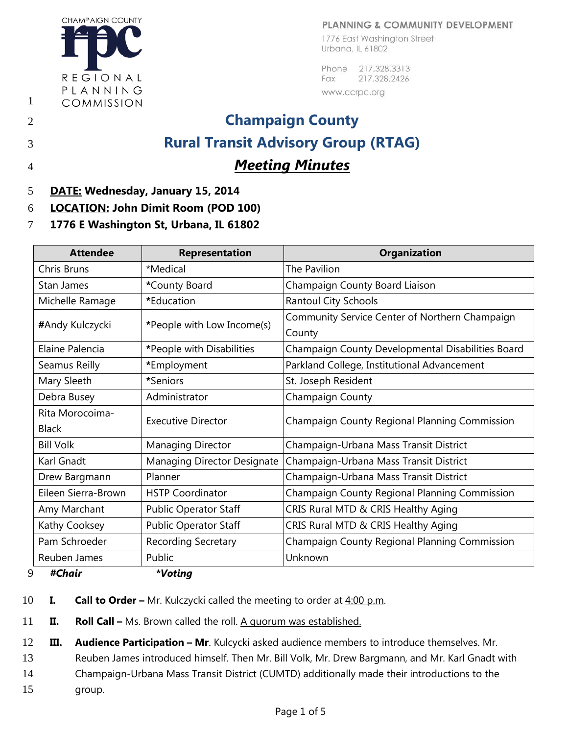### PLANNING & COMMUNITY DEVELOPMENT

**CHAMPAIGN COUNTY** REGIONAL PLANNING COMMISSION

1776 East Washington Street Urbana, IL 61802

Phone 217.328.3313 Fax 217.328.2426 www.ccrpc.org

# 2 **Champaign County** 3 **Rural Transit Advisory Group (RTAG)** 4 *Meeting Minutes*

1

- 5 **DATE: Wednesday, January 15, 2014**
- 6 **LOCATION: John Dimit Room (POD 100)**
- 7 **1776 E Washington St, Urbana, IL 61802**

| <b>Attendee</b>                 | <b>Representation</b>        | <b>Organization</b>                                      |
|---------------------------------|------------------------------|----------------------------------------------------------|
| <b>Chris Bruns</b>              | *Medical                     | The Pavilion                                             |
| Stan James                      | *County Board                | Champaign County Board Liaison                           |
| Michelle Ramage                 | *Education                   | <b>Rantoul City Schools</b>                              |
| #Andy Kulczycki                 | *People with Low Income(s)   | Community Service Center of Northern Champaign<br>County |
| Elaine Palencia                 | *People with Disabilities    | Champaign County Developmental Disabilities Board        |
| Seamus Reilly                   | *Employment                  | Parkland College, Institutional Advancement              |
| Mary Sleeth                     | *Seniors                     | St. Joseph Resident                                      |
| Debra Busey                     | Administrator                | Champaign County                                         |
| Rita Morocoima-<br><b>Black</b> | <b>Executive Director</b>    | Champaign County Regional Planning Commission            |
| <b>Bill Volk</b>                | <b>Managing Director</b>     | Champaign-Urbana Mass Transit District                   |
| Karl Gnadt                      | Managing Director Designate  | Champaign-Urbana Mass Transit District                   |
| Drew Bargmann                   | Planner                      | Champaign-Urbana Mass Transit District                   |
| Eileen Sierra-Brown             | <b>HSTP Coordinator</b>      | Champaign County Regional Planning Commission            |
| Amy Marchant                    | <b>Public Operator Staff</b> | CRIS Rural MTD & CRIS Healthy Aging                      |
| Kathy Cooksey                   | <b>Public Operator Staff</b> | CRIS Rural MTD & CRIS Healthy Aging                      |
| Pam Schroeder                   | Recording Secretary          | Champaign County Regional Planning Commission            |
| Reuben James                    | Public                       | Unknown                                                  |
| 9<br>#Chair                     | *Voting                      |                                                          |

- 10 **I. Call to Order –** Mr. Kulczycki called the meeting to order at 4:00 p.m.
- 11 **II. Roll Call –** Ms. Brown called the roll. A quorum was established.

12 **III. Audience Participation – Mr**. Kulcycki asked audience members to introduce themselves. Mr.

13 Reuben James introduced himself. Then Mr. Bill Volk, Mr. Drew Bargmann, and Mr. Karl Gnadt with

14 Champaign-Urbana Mass Transit District (CUMTD) additionally made their introductions to the

15 group.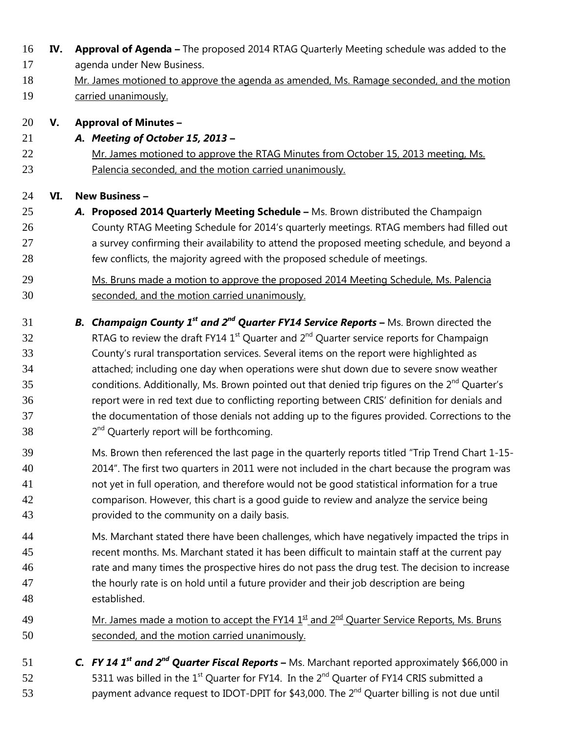- **IV. Approval of Agenda –** The proposed 2014 RTAG Quarterly Meeting schedule was added to the
- agenda under New Business.
- Mr. James motioned to approve the agenda as amended, Ms. Ramage seconded, and the motion carried unanimously.

## **V. Approval of Minutes –**

- *A. Meeting of October 15, 2013* **–**
- Mr. James motioned to approve the RTAG Minutes from October 15, 2013 meeting, Ms. Palencia seconded, and the motion carried unanimously.

# **VI. New Business –**

- *A.* **Proposed 2014 Quarterly Meeting Schedule –** Ms. Brown distributed the Champaign County RTAG Meeting Schedule for 2014's quarterly meetings. RTAG members had filled out 27 a survey confirming their availability to attend the proposed meeting schedule, and beyond a few conflicts, the majority agreed with the proposed schedule of meetings.
- Ms. Bruns made a motion to approve the proposed 2014 Meeting Schedule, Ms. Palencia seconded, and the motion carried unanimously.
- **B.** *Champaign County 1<sup>st</sup> and 2<sup>nd</sup> Quarter FY14 Service Reports* Ms. Brown directed the RTAG to review the draft FY14 1<sup>st</sup> Quarter and  $2<sup>nd</sup>$  Quarter service reports for Champaign County's rural transportation services. Several items on the report were highlighted as attached; including one day when operations were shut down due to severe snow weather 35 conditions. Additionally, Ms. Brown pointed out that denied trip figures on the  $2^{nd}$  Quarter's report were in red text due to conflicting reporting between CRIS' definition for denials and the documentation of those denials not adding up to the figures provided. Corrections to the  $2^{nd}$  Ouarterly report will be forthcoming.
- Ms. Brown then referenced the last page in the quarterly reports titled "Trip Trend Chart 1-15- 2014". The first two quarters in 2011 were not included in the chart because the program was not yet in full operation, and therefore would not be good statistical information for a true comparison. However, this chart is a good guide to review and analyze the service being provided to the community on a daily basis.
- Ms. Marchant stated there have been challenges, which have negatively impacted the trips in recent months. Ms. Marchant stated it has been difficult to maintain staff at the current pay rate and many times the prospective hires do not pass the drug test. The decision to increase the hourly rate is on hold until a future provider and their job description are being established.
- 49 Mr. James made a motion to accept the FY14  $1<sup>st</sup>$  and  $2<sup>nd</sup>$  Quarter Service Reports, Ms. Bruns seconded, and the motion carried unanimously.
- **C.** *FY 14 1<sup>st</sup> and 2<sup>nd</sup> Quarter Fiscal Reports* **Ms. Marchant reported approximately \$66,000 in** 52 5311 was billed in the  $1<sup>st</sup>$  Quarter for FY14. In the  $2<sup>nd</sup>$  Quarter of FY14 CRIS submitted a 53 bayment advance request to IDOT-DPIT for \$43,000. The  $2^{nd}$  Quarter billing is not due until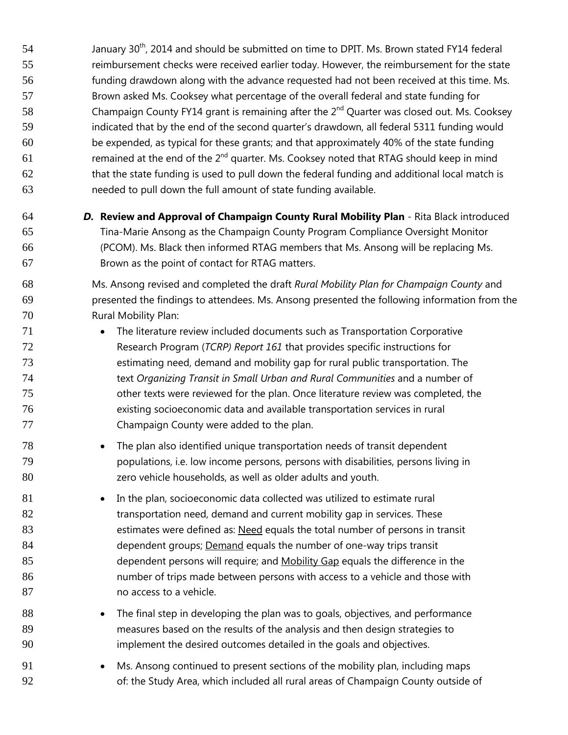54 January 30<sup>th</sup>, 2014 and should be submitted on time to DPIT. Ms. Brown stated FY14 federal reimbursement checks were received earlier today. However, the reimbursement for the state funding drawdown along with the advance requested had not been received at this time. Ms. Brown asked Ms. Cooksey what percentage of the overall federal and state funding for 58 Champaign County FY14 grant is remaining after the  $2<sup>nd</sup>$  Quarter was closed out. Ms. Cooksey indicated that by the end of the second quarter's drawdown, all federal 5311 funding would be expended, as typical for these grants; and that approximately 40% of the state funding **Example 1** remained at the end of the  $2^{nd}$  quarter. Ms. Cooksey noted that RTAG should keep in mind that the state funding is used to pull down the federal funding and additional local match is needed to pull down the full amount of state funding available.

 *D.* **Review and Approval of Champaign County Rural Mobility Plan** - Rita Black introduced Tina-Marie Ansong as the Champaign County Program Compliance Oversight Monitor (PCOM). Ms. Black then informed RTAG members that Ms. Ansong will be replacing Ms. Brown as the point of contact for RTAG matters.

 Ms. Ansong revised and completed the draft *Rural Mobility Plan for Champaign County* and presented the findings to attendees. Ms. Ansong presented the following information from the Rural Mobility Plan:

- 71 The literature review included documents such as Transportation Corporative Research Program (*TCRP) Report 161* that provides specific instructions for estimating need, demand and mobility gap for rural public transportation. The text *Organizing Transit in Small Urban and Rural Communities* and a number of other texts were reviewed for the plan. Once literature review was completed, the existing socioeconomic data and available transportation services in rural Champaign County were added to the plan.
- The plan also identified unique transportation needs of transit dependent populations, i.e. low income persons, persons with disabilities, persons living in zero vehicle households, as well as older adults and youth.
- 81 In the plan, socioeconomic data collected was utilized to estimate rural **transportation need, demand and current mobility gap in services. These** 83 estimates were defined as: Need equals the total number of persons in transit dependent groups; Demand equals the number of one-way trips transit 85 dependent persons will require; and Mobility Gap equals the difference in the number of trips made between persons with access to a vehicle and those with **no access to a vehicle.**
- 88 The final step in developing the plan was to goals, objectives, and performance measures based on the results of the analysis and then design strategies to implement the desired outcomes detailed in the goals and objectives.
- Ms. Ansong continued to present sections of the mobility plan, including maps 92 of: the Study Area, which included all rural areas of Champaign County outside of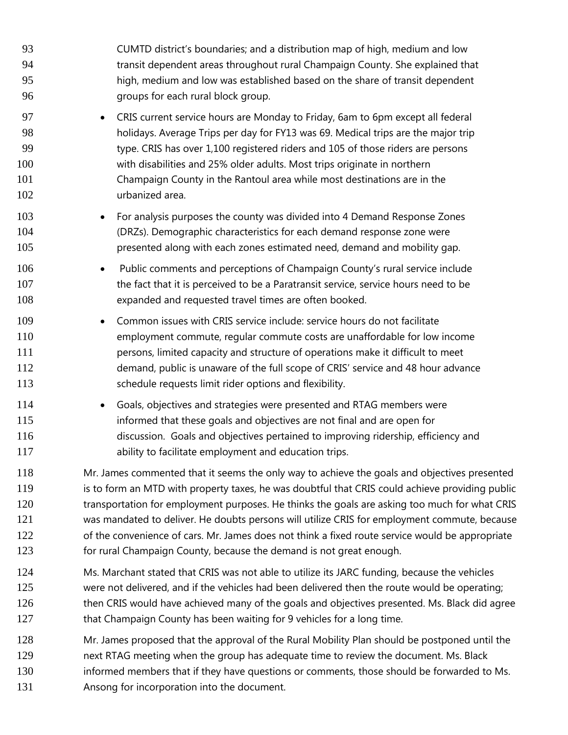| 93                              | CUMTD district's boundaries; and a distribution map of high, medium and low                                                                                                                                                                                                                                                                                                                         |
|---------------------------------|-----------------------------------------------------------------------------------------------------------------------------------------------------------------------------------------------------------------------------------------------------------------------------------------------------------------------------------------------------------------------------------------------------|
| 94                              | transit dependent areas throughout rural Champaign County. She explained that                                                                                                                                                                                                                                                                                                                       |
| 95                              | high, medium and low was established based on the share of transit dependent                                                                                                                                                                                                                                                                                                                        |
| 96                              | groups for each rural block group.                                                                                                                                                                                                                                                                                                                                                                  |
| 97                              | CRIS current service hours are Monday to Friday, 6am to 6pm except all federal                                                                                                                                                                                                                                                                                                                      |
| 98                              | holidays. Average Trips per day for FY13 was 69. Medical trips are the major trip                                                                                                                                                                                                                                                                                                                   |
| 99                              | type. CRIS has over 1,100 registered riders and 105 of those riders are persons                                                                                                                                                                                                                                                                                                                     |
| 100                             | with disabilities and 25% older adults. Most trips originate in northern                                                                                                                                                                                                                                                                                                                            |
| 101                             | Champaign County in the Rantoul area while most destinations are in the                                                                                                                                                                                                                                                                                                                             |
| 102                             | urbanized area.                                                                                                                                                                                                                                                                                                                                                                                     |
| 103                             | For analysis purposes the county was divided into 4 Demand Response Zones                                                                                                                                                                                                                                                                                                                           |
| 104                             | (DRZs). Demographic characteristics for each demand response zone were                                                                                                                                                                                                                                                                                                                              |
| 105                             | presented along with each zones estimated need, demand and mobility gap.                                                                                                                                                                                                                                                                                                                            |
| 106                             | Public comments and perceptions of Champaign County's rural service include                                                                                                                                                                                                                                                                                                                         |
| 107                             | the fact that it is perceived to be a Paratransit service, service hours need to be                                                                                                                                                                                                                                                                                                                 |
| 108                             | expanded and requested travel times are often booked.                                                                                                                                                                                                                                                                                                                                               |
| 109<br>110<br>111<br>112<br>113 | Common issues with CRIS service include: service hours do not facilitate<br>$\bullet$<br>employment commute, regular commute costs are unaffordable for low income<br>persons, limited capacity and structure of operations make it difficult to meet<br>demand, public is unaware of the full scope of CRIS' service and 48 hour advance<br>schedule requests limit rider options and flexibility. |
| 114<br>115<br>116<br>117        | Goals, objectives and strategies were presented and RTAG members were<br>$\bullet$<br>informed that these goals and objectives are not final and are open for<br>discussion. Goals and objectives pertained to improving ridership, efficiency and<br>ability to facilitate employment and education trips.                                                                                         |
| 118                             | Mr. James commented that it seems the only way to achieve the goals and objectives presented                                                                                                                                                                                                                                                                                                        |
| 119                             | is to form an MTD with property taxes, he was doubtful that CRIS could achieve providing public                                                                                                                                                                                                                                                                                                     |
| 120                             | transportation for employment purposes. He thinks the goals are asking too much for what CRIS                                                                                                                                                                                                                                                                                                       |
| 121                             | was mandated to deliver. He doubts persons will utilize CRIS for employment commute, because                                                                                                                                                                                                                                                                                                        |
| 122                             | of the convenience of cars. Mr. James does not think a fixed route service would be appropriate                                                                                                                                                                                                                                                                                                     |
| 123                             | for rural Champaign County, because the demand is not great enough.                                                                                                                                                                                                                                                                                                                                 |
| 124                             | Ms. Marchant stated that CRIS was not able to utilize its JARC funding, because the vehicles                                                                                                                                                                                                                                                                                                        |
| 125                             | were not delivered, and if the vehicles had been delivered then the route would be operating;                                                                                                                                                                                                                                                                                                       |
| 126                             | then CRIS would have achieved many of the goals and objectives presented. Ms. Black did agree                                                                                                                                                                                                                                                                                                       |
| 127                             | that Champaign County has been waiting for 9 vehicles for a long time.                                                                                                                                                                                                                                                                                                                              |

 Mr. James proposed that the approval of the Rural Mobility Plan should be postponed until the next RTAG meeting when the group has adequate time to review the document. Ms. Black

informed members that if they have questions or comments, those should be forwarded to Ms.

Ansong for incorporation into the document.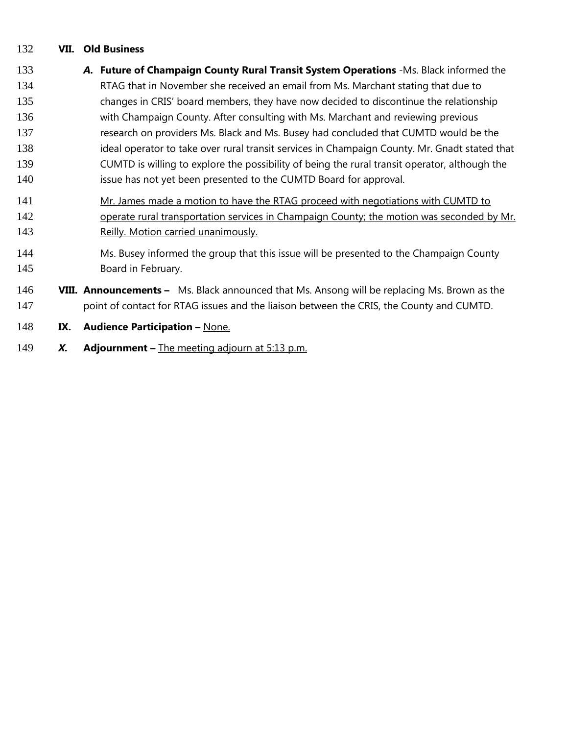### **VII. Old Business**

- *A.* **Future of Champaign County Rural Transit System Operations** -Ms. Black informed the RTAG that in November she received an email from Ms. Marchant stating that due to changes in CRIS' board members, they have now decided to discontinue the relationship with Champaign County. After consulting with Ms. Marchant and reviewing previous research on providers Ms. Black and Ms. Busey had concluded that CUMTD would be the ideal operator to take over rural transit services in Champaign County. Mr. Gnadt stated that CUMTD is willing to explore the possibility of being the rural transit operator, although the issue has not yet been presented to the CUMTD Board for approval. Mr. James made a motion to have the RTAG proceed with negotiations with CUMTD to 142 operate rural transportation services in Champaign County; the motion was seconded by Mr. 143 Reilly. Motion carried unanimously. Ms. Busey informed the group that this issue will be presented to the Champaign County Board in February. **VIII. Announcements –** Ms. Black announced that Ms. Ansong will be replacing Ms. Brown as the 147 point of contact for RTAG issues and the liaison between the CRIS, the County and CUMTD. **IX. Audience Participation –** None.
- *X.* **Adjournment –** The meeting adjourn at 5:13 p.m.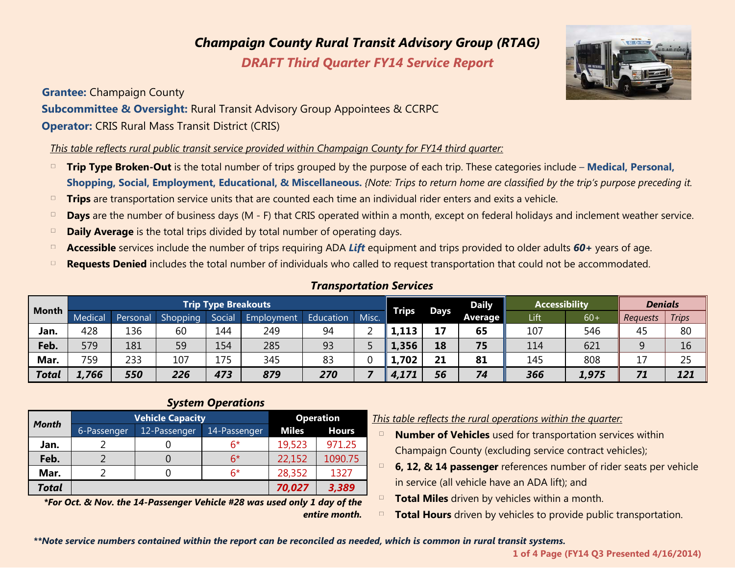# *Champaign County Rural Transit Advisory Group (RTAG)*

*DRAFT Third Quarter FY14 Service Report* 

**Grantee:** Champaign County **Subcommittee & Oversight:** Rural Transit Advisory Group Appointees & CCRPC **Operator:** CRIS Rural Mass Transit District (CRIS)

*This table reflects rural public transit service provided within Champaign County for FY14 third quarter:*

- □ **Trip Type Broken-Out** is the total number of trips grouped by the purpose of each trip. These categories include **Medical, Personal, Shopping, Social, Employment, Educational, & Miscellaneous.** *{Note: Trips to return home are classified by the trip's purpose preceding it.*
- □ Trips are transportation service units that are counted each time an individual rider enters and exits a vehicle.
- □ **Days** are the number of business days (M F) that CRIS operated within a month, except on federal holidays and inclement weather service.
- **Daily Average** is the total trips divided by total number of operating days.
- □ **Accessible** services include the number of trips requiring ADA Lift equipment and trips provided to older adults 60+ years of age.
- **Requests Denied** includes the total number of individuals who called to request transportation that could not be accommodated.

|              | <b>Trip Type Breakouts</b> |          |          |        |            |           |       | <b>Daily</b> | <b>Accessibility</b> |         | <b>Denials</b> |       |                 |              |
|--------------|----------------------------|----------|----------|--------|------------|-----------|-------|--------------|----------------------|---------|----------------|-------|-----------------|--------------|
| <b>Month</b> | Medical                    | Personal | Shopping | Social | Employment | Education | Misc. | <b>Trips</b> | Days                 | Average | Lift           | $60+$ | <b>Requests</b> | <b>Trips</b> |
| Jan.         | 428                        | 136      | 60       | 144    | 249        | 94        |       | 1.113        | 17                   | 65      | 107            | 546   | 45              | 80           |
| Feb.         | 579                        | 181      | 59       | 154    | 285        | 93        |       | 1,356        | 18                   | 75      | 114            | 621   | 9               | 16           |
| Mar.         | 759                        | 233      | 107      | 175    | 345        | 83        |       | 1,702        | 21                   | 81      | 145            | 808   | ᆂ               | 25           |
| <b>Total</b> | 1,766                      | 550      | 226      | 473    | 879        | 270       |       | 4,171        | 56                   | 74      | 366            | 1,975 | 71              | 121          |

### *Transportation Services*

### *System Operations*

| <b>Month</b> | <b>Vehicle Capacity</b> | <b>Operation</b> |              |              |              |  |
|--------------|-------------------------|------------------|--------------|--------------|--------------|--|
|              | 6-Passenger             | 12-Passenger     | 14-Passenger | <b>Miles</b> | <b>Hours</b> |  |
| Jan.         |                         |                  | 6*           | 19,523       | 971.25       |  |
| Feb.         |                         |                  | 6*           | 22,152       | 1090.75      |  |
| Mar.         |                         |                  | 6*           | 28,352       | 1327         |  |
| <b>Total</b> |                         |                  |              | 70,027       | 3,389        |  |

*\*For Oct. & Nov. the 14-Passenger Vehicle #28 was used only 1 day of the entire month.* *Montha This table reflects the rural operations within the quarter:* 

- □ **Number of Vehicles** used for transportation services within Champaign County (excluding service contract vehicles);
- **6, 12, & 14 passenger** references number of rider seats per vehicle in service (all vehicle have an ADA lift); and
- □ **Total Miles** driven by vehicles within a month.
- **Total Hours** driven by vehicles to provide public transportation.

*\*\*Note service numbers contained within the report can be reconciled as needed, which is common in rural transit systems.*



**<sup>1</sup> of 4 Page (FY14 Q3 Presented 4/16/2014)**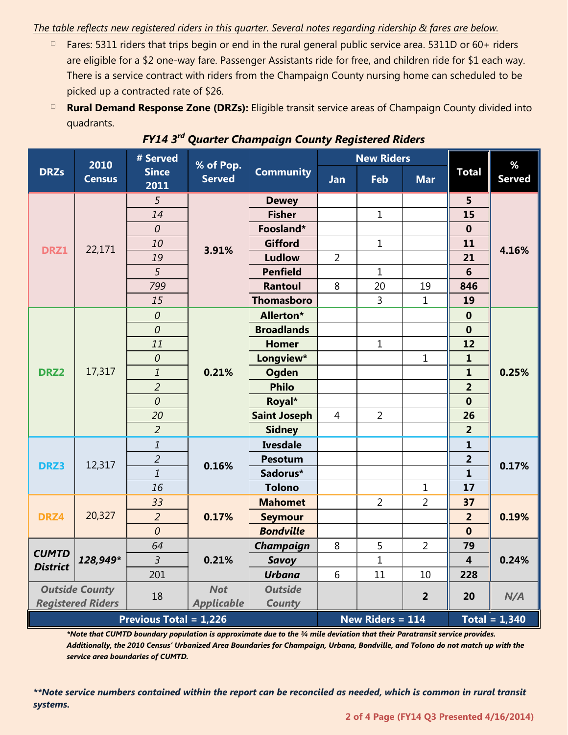### *The table reflects new registered riders in this quarter. Several notes regarding ridership & fares are below.*

- $\Box$  Fares: 5311 riders that trips begin or end in the rural general public service area. 5311D or 60+ riders are eligible for a \$2 one-way fare. Passenger Assistants ride for free, and children ride for \$1 each way. There is a service contract with riders from the Champaign County nursing home can scheduled to be picked up a contracted rate of \$26.
- □ **Rural Demand Response Zone (DRZs):** Eligible transit service areas of Champaign County divided into quadrants.

|                               | 2010          | # Served             | % of Pop.         | <b>Community</b>    |                         | <b>New Riders</b> |                | %                       |               |  |  |
|-------------------------------|---------------|----------------------|-------------------|---------------------|-------------------------|-------------------|----------------|-------------------------|---------------|--|--|
| <b>DRZs</b>                   | <b>Census</b> | <b>Since</b><br>2011 | <b>Served</b>     |                     | Jan                     | Feb               | <b>Mar</b>     | <b>Total</b>            | <b>Served</b> |  |  |
|                               |               | 5                    |                   | <b>Dewey</b>        |                         |                   |                | 5                       |               |  |  |
|                               |               | 14                   | 3.91%             | <b>Fisher</b>       |                         | $\mathbf 1$       |                | 15                      | 4.16%         |  |  |
|                               |               | $\overline{0}$       |                   | Foosland*           |                         |                   |                | $\mathbf 0$             |               |  |  |
| DRZ1                          | 22,171        | 10                   |                   | <b>Gifford</b>      |                         | $\mathbf{1}$      |                | 11                      |               |  |  |
|                               |               | 19                   |                   | <b>Ludlow</b>       | $\overline{2}$          |                   |                | 21                      |               |  |  |
|                               |               | 5                    |                   | <b>Penfield</b>     |                         | $\mathbf 1$       |                | $6\phantom{1}6$         |               |  |  |
|                               |               | 799                  |                   | <b>Rantoul</b>      | 8                       | 20                | 19             | 846                     |               |  |  |
|                               |               | 15                   |                   | <b>Thomasboro</b>   |                         | 3                 | $\mathbf{1}$   | 19                      |               |  |  |
|                               |               | $\theta$             |                   | Allerton*           |                         |                   |                | $\boldsymbol{0}$        | 0.25%         |  |  |
|                               |               | $\mathcal O$         |                   | <b>Broadlands</b>   |                         |                   |                | $\boldsymbol{0}$        |               |  |  |
|                               |               | 11                   |                   | <b>Homer</b>        |                         | $\mathbf{1}$      |                | 12                      |               |  |  |
|                               | 17,317        | $\mathcal O$         | 0.21%             | Longview*           |                         |                   | $\mathbf{1}$   | $\mathbf{1}$            |               |  |  |
| DRZ <sub>2</sub>              |               | $\mathfrak 1$        |                   | <b>Ogden</b>        |                         |                   |                | $\mathbf{1}$            |               |  |  |
|                               |               | $\overline{2}$       |                   | <b>Philo</b>        |                         |                   |                | $\overline{2}$          |               |  |  |
|                               |               | $\mathcal O$         |                   | Royal*              |                         |                   |                | $\mathbf 0$             |               |  |  |
|                               |               | 20                   |                   | <b>Saint Joseph</b> | $\overline{4}$          | $\overline{2}$    |                | 26                      |               |  |  |
|                               |               | $\overline{2}$       |                   | <b>Sidney</b>       |                         |                   |                | $\overline{\mathbf{2}}$ |               |  |  |
|                               |               | $\mathfrak 1$        |                   | <b>Ivesdale</b>     |                         |                   |                | $\mathbf{1}$            |               |  |  |
|                               | 12,317        | $\overline{2}$       | 0.16%             | Pesotum             |                         |                   |                | $\overline{2}$          |               |  |  |
| DRZ3                          |               | $\mathbf{1}$         |                   | Sadorus*            |                         |                   |                | $\mathbf{1}$            | 0.17%         |  |  |
|                               |               | 16                   |                   | <b>Tolono</b>       |                         |                   | 1              | 17                      |               |  |  |
|                               |               | 33                   | 0.17%             | <b>Mahomet</b>      |                         | $\overline{2}$    | $\overline{2}$ | 37                      | 0.19%         |  |  |
| DRZ4                          | 20,327        | $\overline{2}$       |                   | <b>Seymour</b>      |                         |                   |                | $\overline{2}$          |               |  |  |
|                               |               | $\mathcal O$         |                   | <b>Bondville</b>    |                         |                   |                | $\mathbf 0$             |               |  |  |
|                               |               | 64                   | 0.21%             | Champaign           | 8                       | 5                 | $\overline{2}$ | 79                      |               |  |  |
| <b>CUMTD</b>                  | 128,949*      | $\overline{3}$       |                   | <b>Savoy</b>        |                         | $\overline{1}$    |                | $\overline{\mathbf{4}}$ | 0.24%         |  |  |
| <b>District</b>               |               | 201                  |                   | <b>Urbana</b>       | 6                       | 11                | 10             | 228                     |               |  |  |
| <b>Outside County</b>         |               |                      | <b>Not</b>        | <b>Outside</b>      |                         |                   |                |                         |               |  |  |
| <b>Registered Riders</b>      |               | 18                   | <b>Applicable</b> | <b>County</b>       |                         |                   | $\overline{2}$ | 20                      | N/A           |  |  |
| <b>Previous Total = 1,226</b> |               |                      |                   |                     | <b>New Riders = 114</b> |                   |                | Total = $1,340$         |               |  |  |

*FY14 3rd Quarter Champaign County Registered Riders*

*\*Note that CUMTD boundary population is approximate due to the ¾ mile deviation that their Paratransit service provides. Additionally, the 2010 Census' Urbanized Area Boundaries for Champaign, Urbana, Bondville, and Tolono do not match up with the service area boundaries of CUMTD.*

*\*\*Note service numbers contained within the report can be reconciled as needed, which is common in rural transit systems.*